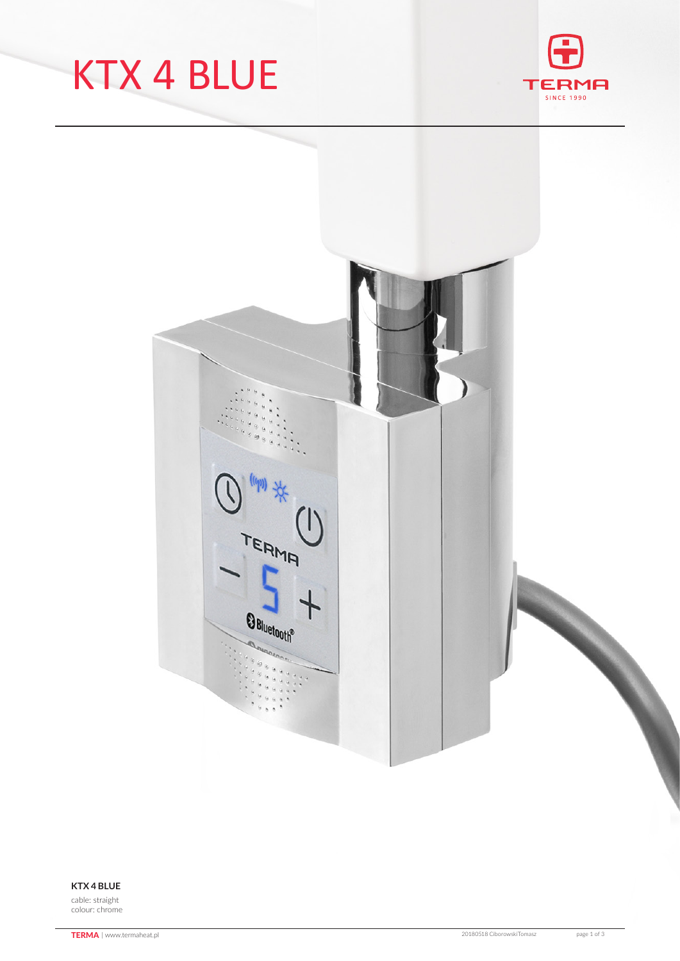## KTX 4 BLUE





#### **KTX 4 BLUE**

cable: straight colour: chrome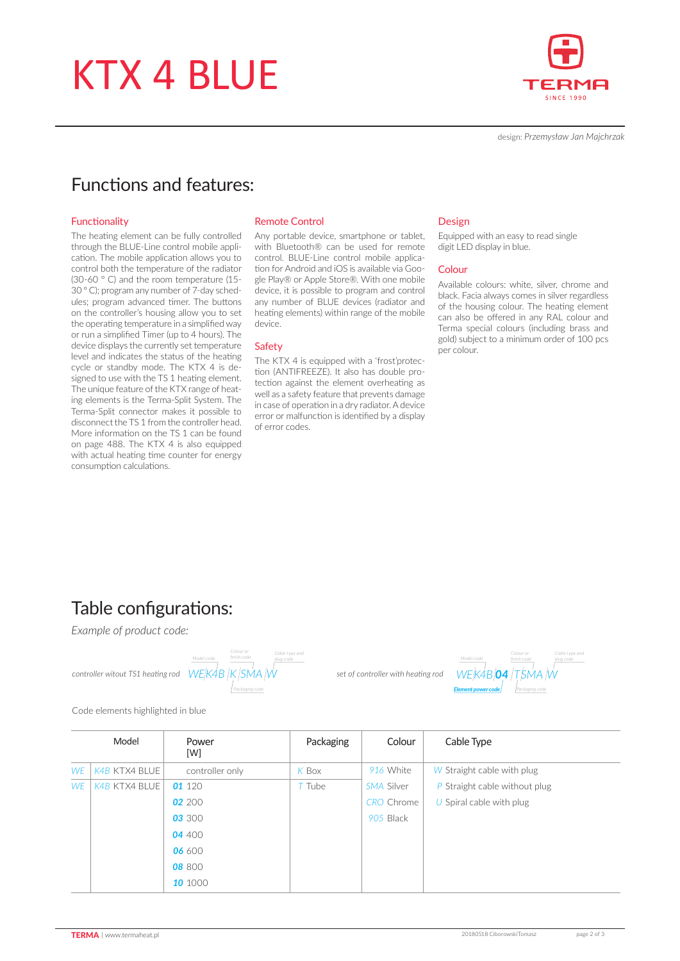## KTX 4 BLUE



design: *Przemysław Jan Majchrzak*

### Functions and features:

#### Functionality

The heating element can be fully controlled through the BLUE-Line control mobile application. The mobile application allows you to control both the temperature of the radiator (30-60 ° C) and the room temperature (15- 30 ° C); program any number of 7-day schedules; program advanced timer. The buttons on the controller's housing allow you to set the operating temperature in a simplified way or run a simplified Timer (up to 4 hours). The device displays the currently set temperature level and indicates the status of the heating cycle or standby mode. The KTX 4 is designed to use with the TS 1 heating element. The unique feature of the KTX range of heating elements is the Terma-Split System. The Terma-Split connector makes it possible to disconnect the TS 1 from the controller head. More information on the TS 1 can be found on page 488. The KTX 4 is also equipped with actual heating time counter for energy consumption calculations.

#### Remote Control

Any portable device, smartphone or tablet, with Bluetooth<sup>®</sup> can be used for remote control. BLUE-Line control mobile application for Android and iOS is available via Google Play® or Apple Store®. With one mobile device, it is possible to program and control any number of BLUE devices (radiator and heating elements) within range of the mobile device.

#### **Safety**

The KTX 4 is equipped with a 'frost'protection (ANTIFREEZE). It also has double protection against the element overheating as well as a safety feature that prevents damage in case of operation in a dry radiator. A device error or malfunction is identified by a display of error codes.

#### Design

Equipped with an easy to read single digit LED display in blue.

#### Colour

Available colours: white, silver, chrome and black. Facia always comes in silver regardless of the housing colour. The heating element can also be offered in any RAL colour and Terma special colours (including brass and gold) subject to a minimum order of 100 pcs per colour.

### Table configurations:

*Example of product code:*



*Packaging code plug code WE K4B  04 T SMA  W Model code Element power code Colour or* 

Code elements highlighted in blue

|           | Model                | Power<br>[W]    | Packaging | Colour            | Cable Type                    |
|-----------|----------------------|-----------------|-----------|-------------------|-------------------------------|
| <b>WE</b> | K4B KTX4 BLUE        | controller only | K Box     | 916 White         | W Straight cable with plug    |
| <b>WE</b> | <b>K4B KTX4 BLUE</b> | 01 120          | T Tube    | SMA Silver        | P Straight cable without plug |
|           |                      | 02 200          |           | <b>CRO</b> Chrome | U Spiral cable with plug      |
|           |                      | 03 300          |           | 905 Black         |                               |
|           |                      | 04400           |           |                   |                               |
|           |                      | 06 600          |           |                   |                               |
|           |                      | 08 800          |           |                   |                               |
|           |                      | 10 1000         |           |                   |                               |